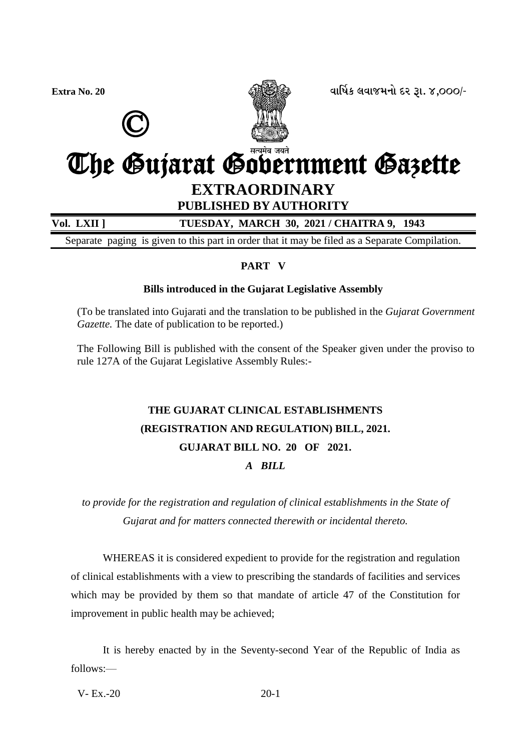



**Extra No. 20 äëìæýÀ áäëÉÜÞù Øß wë. 4,000/-**

# The Gujarat Government Gazette **EXTRAORDINARY**

### **PUBLISHED BY AUTHORITY**

### **Vol. LXII ] TUESDAY, MARCH 30, 2021 / CHAITRA 9, 1943**

Separate paging is given to this part in order that it may be filed as a Separate Compilation.

### **PART V**

### **Bills introduced in the Gujarat Legislative Assembly**

(To be translated into Gujarati and the translation to be published in the *Gujarat Government Gazette.* The date of publication to be reported.)

The Following Bill is published with the consent of the Speaker given under the proviso to rule 127A of the Gujarat Legislative Assembly Rules:-

## **THE GUJARAT CLINICAL ESTABLISHMENTS (REGISTRATION AND REGULATION) BILL, 2021. GUJARAT BILL NO. 20 OF 2021.** *A BILL*

*to provide for the registration and regulation of clinical establishments in the State of Gujarat and for matters connected therewith or incidental thereto.*

WHEREAS it is considered expedient to provide for the registration and regulation of clinical establishments with a view to prescribing the standards of facilities and services which may be provided by them so that mandate of article 47 of the Constitution for improvement in public health may be achieved;

It is hereby enacted by in the Seventy-second Year of the Republic of India as follows:—

 $V - Ex. -20$  20-1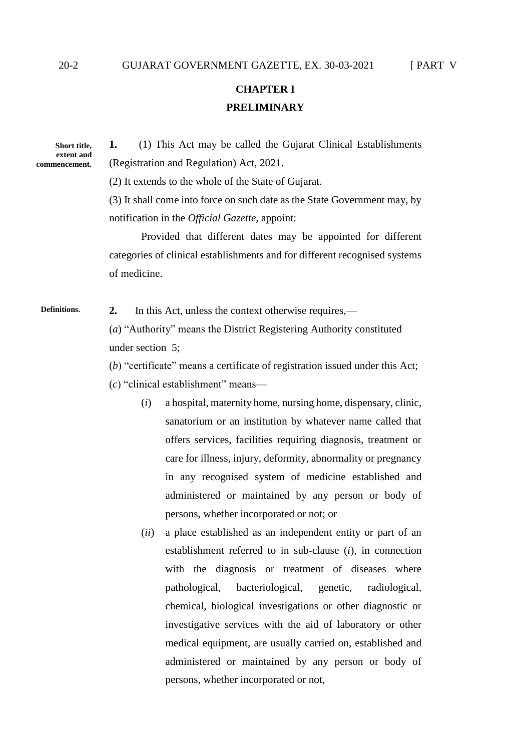### **CHAPTER I PRELIMINARY**

**Short title, extent and commencement.** **1.** (1) This Act may be called the Gujarat Clinical Establishments (Registration and Regulation) Act, 2021.

(2) It extends to the whole of the State of Gujarat.

(3) It shall come into force on such date as the State Government may, by notification in the *Official Gazette,* appoint:

Provided that different dates may be appointed for different categories of clinical establishments and for different recognised systems of medicine.

**2.** In this Act, unless the context otherwise requires,— **Definitions.**

> (*a*) "Authority" means the District Registering Authority constituted under section 5;

(*b*) "certificate" means a certificate of registration issued under this Act;

- (*c*) "clinical establishment" means—
	- (*i*) a hospital, maternity home, nursing home, dispensary, clinic, sanatorium or an institution by whatever name called that offers services, facilities requiring diagnosis, treatment or care for illness, injury, deformity, abnormality or pregnancy in any recognised system of medicine established and administered or maintained by any person or body of persons, whether incorporated or not; or
	- (*ii*) a place established as an independent entity or part of an establishment referred to in sub-clause (*i*), in connection with the diagnosis or treatment of diseases where pathological, bacteriological, genetic, radiological, chemical, biological investigations or other diagnostic or investigative services with the aid of laboratory or other medical equipment, are usually carried on, established and administered or maintained by any person or body of persons, whether incorporated or not,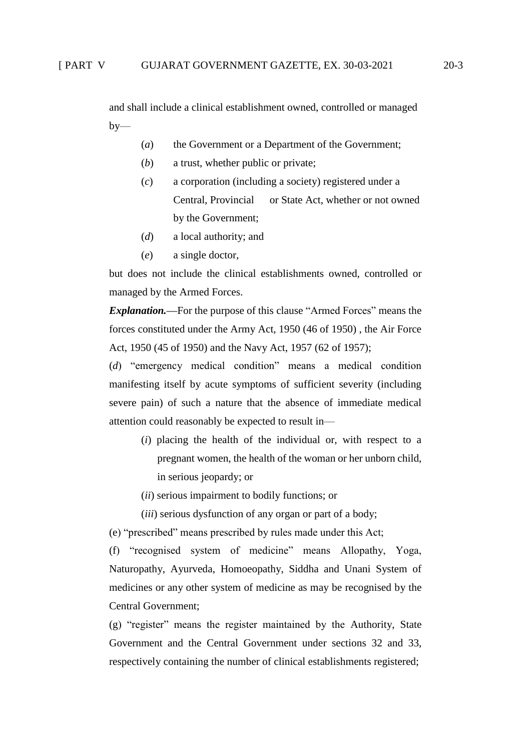and shall include a clinical establishment owned, controlled or managed  $by-$ 

- (*a*) the Government or a Department of the Government;
- (*b*) a trust, whether public or private;
- (*c*) a corporation (including a society) registered under a Central, Provincial or State Act, whether or not owned by the Government;
- (*d*) a local authority; and
- (*e*) a single doctor,

but does not include the clinical establishments owned, controlled or managed by the Armed Forces.

*Explanation.***—**For the purpose of this clause "Armed Forces" means the forces constituted under the Army Act, 1950 (46 of 1950) , the Air Force Act, 1950 (45 of 1950) and the Navy Act, 1957 (62 of 1957);

(*d*) "emergency medical condition" means a medical condition manifesting itself by acute symptoms of sufficient severity (including severe pain) of such a nature that the absence of immediate medical attention could reasonably be expected to result in—

- (*i*) placing the health of the individual or, with respect to a pregnant women, the health of the woman or her unborn child, in serious jeopardy; or
- (*ii*) serious impairment to bodily functions; or
- (*iii*) serious dysfunction of any organ or part of a body;

(e) "prescribed" means prescribed by rules made under this Act;

(f) "recognised system of medicine" means Allopathy, Yoga, Naturopathy, Ayurveda, Homoeopathy, Siddha and Unani System of medicines or any other system of medicine as may be recognised by the Central Government;

(g) "register" means the register maintained by the Authority, State Government and the Central Government under sections 32 and 33, respectively containing the number of clinical establishments registered;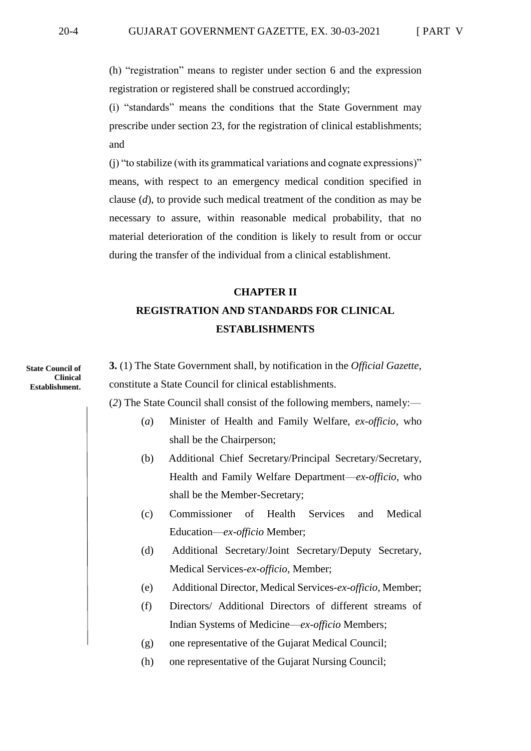(h) "registration" means to register under section 6 and the expression registration or registered shall be construed accordingly;

(i) "standards" means the conditions that the State Government may prescribe under section 23, for the registration of clinical establishments; and

(j) "to stabilize (with its grammatical variations and cognate expressions)" means, with respect to an emergency medical condition specified in clause (*d*), to provide such medical treatment of the condition as may be necessary to assure, within reasonable medical probability, that no material deterioration of the condition is likely to result from or occur during the transfer of the individual from a clinical establishment.

## **CHAPTER II REGISTRATION AND STANDARDS FOR CLINICAL ESTABLISHMENTS**

**State Council of Clinical Establishment.**

**3.** (1) The State Government shall, by notification in the *Official Gazette*, constitute a State Council for clinical establishments.

(*2*) The State Council shall consist of the following members, namely:—

- (*a*) Minister of Health and Family Welfare, *ex-officio*, who shall be the Chairperson;
	- (b) Additional Chief Secretary/Principal Secretary/Secretary, Health and Family Welfare Department—*ex-officio*, who shall be the Member-Secretary;
	- (c) Commissioner of Health Services and Medical Education—*ex-officio* Member;
	- (d) Additional Secretary/Joint Secretary/Deputy Secretary, Medical Services-*ex-officio*, Member;
	- (e) Additional Director, Medical Services-*ex-officio*, Member;
- (f) Directors/ Additional Directors of different streams of Indian Systems of Medicine—*ex-officio* Members;
- (g) one representative of the Gujarat Medical Council;
- (h) one representative of the Gujarat Nursing Council;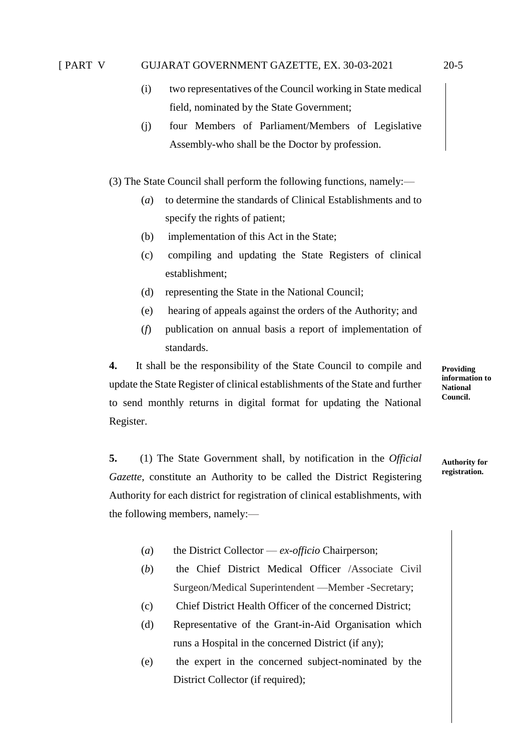### [ PART V GUJARAT GOVERNMENT GAZETTE, EX. 30-03-2021 20-5

- 
- (i) two representatives of the Council working in State medical field, nominated by the State Government;
- (j) four Members of Parliament/Members of Legislative Assembly-who shall be the Doctor by profession.

(3) The State Council shall perform the following functions, namely:—

- (*a*) to determine the standards of Clinical Establishments and to specify the rights of patient;
- (b) implementation of this Act in the State;
- (c) compiling and updating the State Registers of clinical establishment;
- (d) representing the State in the National Council;
- (e) hearing of appeals against the orders of the Authority; and
- (*f*) publication on annual basis a report of implementation of standards.

**4.** It shall be the responsibility of the State Council to compile and update the State Register of clinical establishments of the State and further to send monthly returns in digital format for updating the National Register.

**Providing information to National Council.**

**5.** (1) The State Government shall, by notification in the *Official Gazette*, constitute an Authority to be called the District Registering Authority for each district for registration of clinical establishments, with the following members, namely:—

**Authority for registration.**

- (*a*) the District Collector *ex-officio* Chairperson;
- (*b*) the Chief District Medical Officer /Associate Civil Surgeon/Medical Superintendent —Member -Secretary;
- (c) Chief District Health Officer of the concerned District;
- (d) Representative of the Grant-in-Aid Organisation which runs a Hospital in the concerned District (if any);
- (e) the expert in the concerned subject-nominated by the District Collector (if required);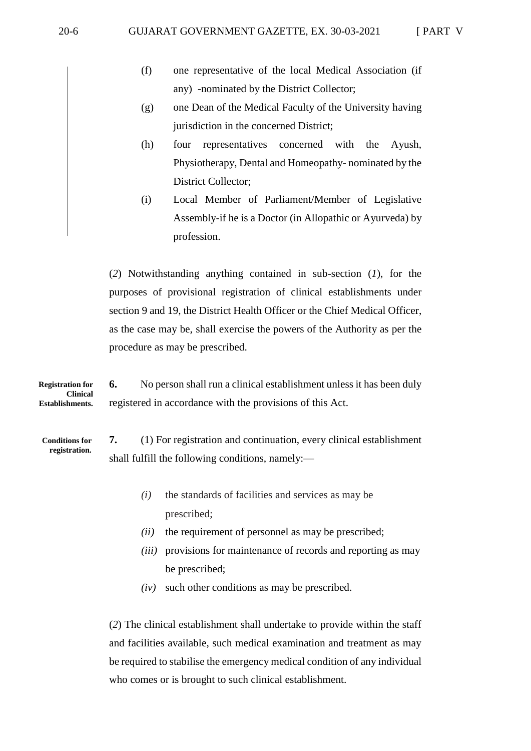- (f) one representative of the local Medical Association (if any) -nominated by the District Collector;
- (g) one Dean of the Medical Faculty of the University having jurisdiction in the concerned District;
- (h) four representatives concerned with the Ayush, Physiotherapy, Dental and Homeopathy- nominated by the District Collector;
- (i) Local Member of Parliament/Member of Legislative Assembly-if he is a Doctor (in Allopathic or Ayurveda) by profession.

(*2*) Notwithstanding anything contained in sub-section (*1*), for the purposes of provisional registration of clinical establishments under section 9 and 19, the District Health Officer or the Chief Medical Officer, as the case may be, shall exercise the powers of the Authority as per the procedure as may be prescribed.

**6.** No person shall run a clinical establishment unless it has been duly registered in accordance with the provisions of this Act. **Registration for Clinical Establishments.**

**Conditions for registration.** **7.** (1) For registration and continuation, every clinical establishment shall fulfill the following conditions, namely:—

- *(i)* the standards of facilities and services as may be prescribed;
- *(ii)* the requirement of personnel as may be prescribed;
- *(iii)* provisions for maintenance of records and reporting as may be prescribed;
- *(iv)* such other conditions as may be prescribed.

(*2*) The clinical establishment shall undertake to provide within the staff and facilities available, such medical examination and treatment as may be required to stabilise the emergency medical condition of any individual who comes or is brought to such clinical establishment.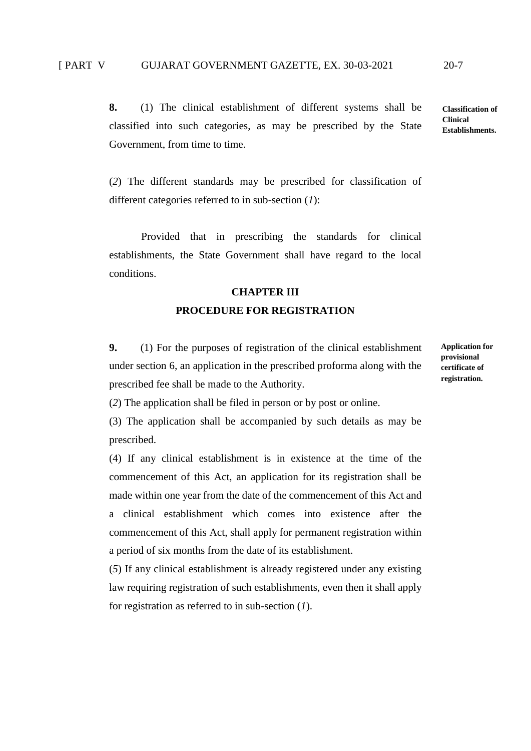**8.** (1) The clinical establishment of different systems shall be classified into such categories, as may be prescribed by the State Government, from time to time.

(*2*) The different standards may be prescribed for classification of different categories referred to in sub-section (*1*):

Provided that in prescribing the standards for clinical establishments, the State Government shall have regard to the local conditions.

#### **CHAPTER III**

### **PROCEDURE FOR REGISTRATION**

**9.** (1) For the purposes of registration of the clinical establishment under section 6, an application in the prescribed proforma along with the prescribed fee shall be made to the Authority.

**Application for provisional certificate of registration.**

(*2*) The application shall be filed in person or by post or online.

(3) The application shall be accompanied by such details as may be prescribed.

(4) If any clinical establishment is in existence at the time of the commencement of this Act, an application for its registration shall be made within one year from the date of the commencement of this Act and a clinical establishment which comes into existence after the commencement of this Act, shall apply for permanent registration within a period of six months from the date of its establishment.

(*5*) If any clinical establishment is already registered under any existing law requiring registration of such establishments, even then it shall apply for registration as referred to in sub-section (*1*).

**Classification of Clinical Establishments.**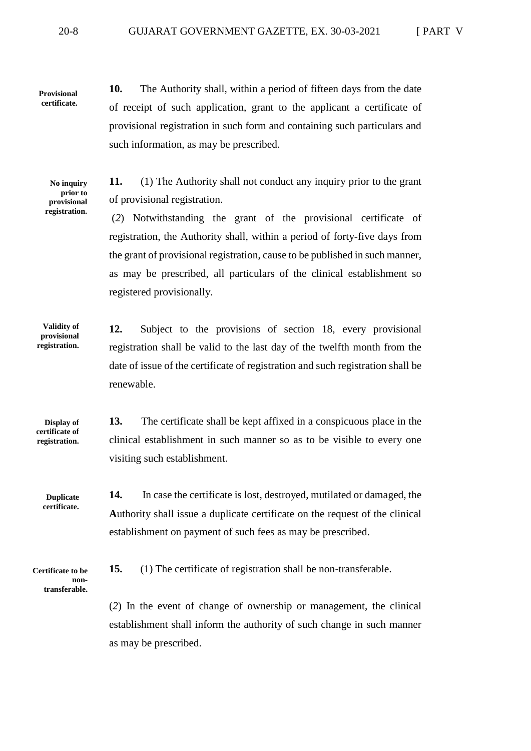**Provisional certificate.** **10.** The Authority shall, within a period of fifteen days from the date of receipt of such application, grant to the applicant a certificate of provisional registration in such form and containing such particulars and such information, as may be prescribed.

**No inquiry prior to provisional registration.** **11.** (1) The Authority shall not conduct any inquiry prior to the grant of provisional registration.

(*2*) Notwithstanding the grant of the provisional certificate of registration, the Authority shall, within a period of forty-five days from the grant of provisional registration, cause to be published in such manner, as may be prescribed, all particulars of the clinical establishment so registered provisionally.

**12.** Subject to the provisions of section 18, every provisional registration shall be valid to the last day of the twelfth month from the date of issue of the certificate of registration and such registration shall be renewable. **Validity of provisional registration.**

**Display of certificate of registration.** **13.** The certificate shall be kept affixed in a conspicuous place in the clinical establishment in such manner so as to be visible to every one visiting such establishment.

**14.** In case the certificate is lost, destroyed, mutilated or damaged, the **A**uthority shall issue a duplicate certificate on the request of the clinical establishment on payment of such fees as may be prescribed. **Duplicate certificate.**

**Certificate to be nontransferable.** **15.** (1) The certificate of registration shall be non-transferable.

(*2*) In the event of change of ownership or management, the clinical establishment shall inform the authority of such change in such manner as may be prescribed.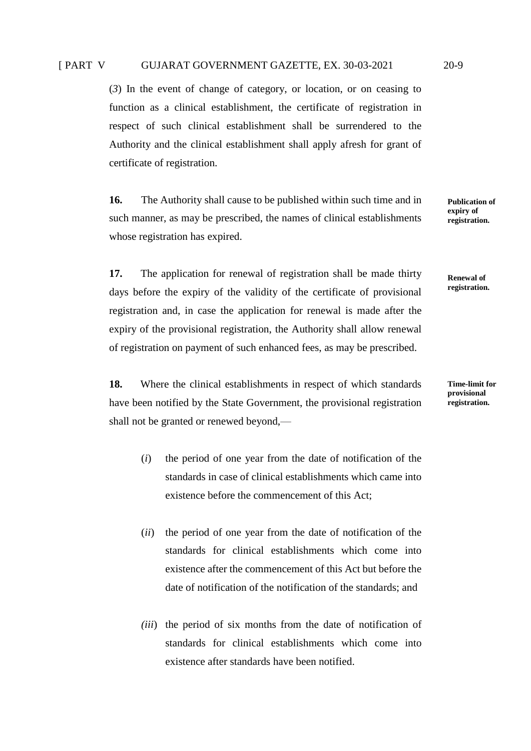(*3*) In the event of change of category, or location, or on ceasing to function as a clinical establishment, the certificate of registration in respect of such clinical establishment shall be surrendered to the Authority and the clinical establishment shall apply afresh for grant of certificate of registration.

**16.** The Authority shall cause to be published within such time and in such manner, as may be prescribed, the names of clinical establishments whose registration has expired.

**17.** The application for renewal of registration shall be made thirty days before the expiry of the validity of the certificate of provisional registration and, in case the application for renewal is made after the expiry of the provisional registration, the Authority shall allow renewal of registration on payment of such enhanced fees, as may be prescribed.

**18.** Where the clinical establishments in respect of which standards have been notified by the State Government, the provisional registration shall not be granted or renewed beyond,—

- (*i*) the period of one year from the date of notification of the standards in case of clinical establishments which came into existence before the commencement of this Act;
- (*ii*) the period of one year from the date of notification of the standards for clinical establishments which come into existence after the commencement of this Act but before the date of notification of the notification of the standards; and
- *(iii*) the period of six months from the date of notification of standards for clinical establishments which come into existence after standards have been notified.

**Time-limit for provisional registration.**

**Renewal of registration.**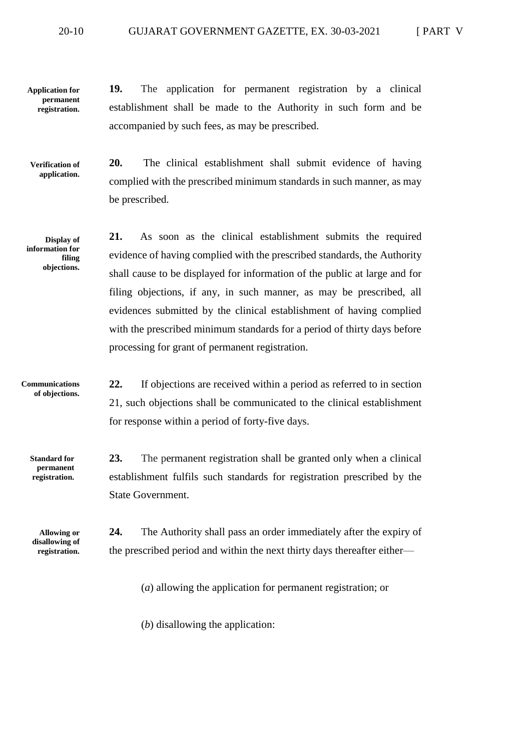#### 20-10 GUJARAT GOVERNMENT GAZETTE, EX. 30-03-2021 [ PART V

**19.** The application for permanent registration by a clinical establishment shall be made to the Authority in such form and be accompanied by such fees, as may be prescribed. **Application for permanent registration.**

**Verification of application.**

**20.** The clinical establishment shall submit evidence of having complied with the prescribed minimum standards in such manner, as may be prescribed.

**Display of information for filing objections.** **21.** As soon as the clinical establishment submits the required evidence of having complied with the prescribed standards, the Authority shall cause to be displayed for information of the public at large and for filing objections, if any, in such manner, as may be prescribed, all evidences submitted by the clinical establishment of having complied with the prescribed minimum standards for a period of thirty days before processing for grant of permanent registration.

**Communications of objections.** **22.** If objections are received within a period as referred to in section 21, such objections shall be communicated to the clinical establishment for response within a period of forty-five days.

**Standard for permanent registration.**

**Allowing or disallowing of registration.**

**23.** The permanent registration shall be granted only when a clinical establishment fulfils such standards for registration prescribed by the State Government.

**24.** The Authority shall pass an order immediately after the expiry of the prescribed period and within the next thirty days thereafter either—

(*a*) allowing the application for permanent registration; or

(*b*) disallowing the application: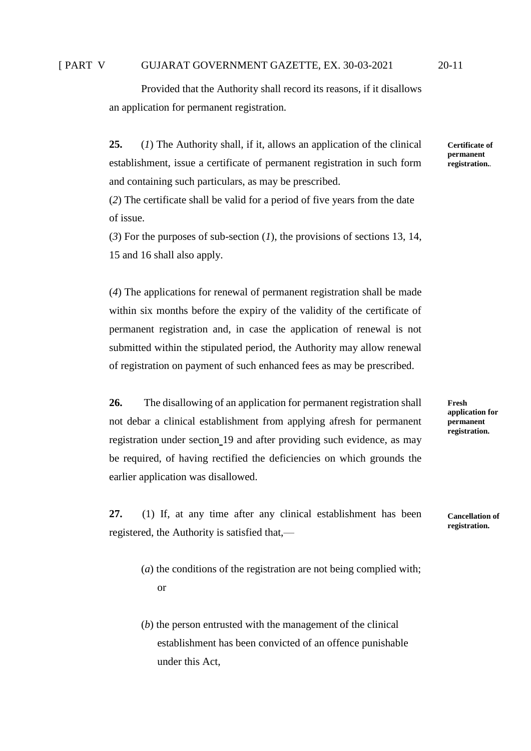### [ PART V GUJARAT GOVERNMENT GAZETTE, EX. 30-03-2021 20-11

Provided that the Authority shall record its reasons, if it disallows an application for permanent registration.

**25.** (*1*) The Authority shall, if it, allows an application of the clinical establishment, issue a certificate of permanent registration in such form and containing such particulars, as may be prescribed.

(*2*) The certificate shall be valid for a period of five years from the date of issue.

(*3*) For the purposes of sub-section (*1*), the provisions of sections 13, 14, 15 and 16 shall also apply.

(*4*) The applications for renewal of permanent registration shall be made within six months before the expiry of the validity of the certificate of permanent registration and, in case the application of renewal is not submitted within the stipulated period, the Authority may allow renewal of registration on payment of such enhanced fees as may be prescribed.

**26.** The disallowing of an application for permanent registration shall not debar a clinical establishment from applying afresh for permanent registration under section 19 and after providing such evidence, as may be required, of having rectified the deficiencies on which grounds the earlier application was disallowed.

**27.** (1) If, at any time after any clinical establishment has been registered, the Authority is satisfied that,—

- (*a*) the conditions of the registration are not being complied with; or
- (*b*) the person entrusted with the management of the clinical establishment has been convicted of an offence punishable under this Act,

**Certificate of permanent registration..**

**Fresh application for permanent registration.**

**Cancellation of registration.**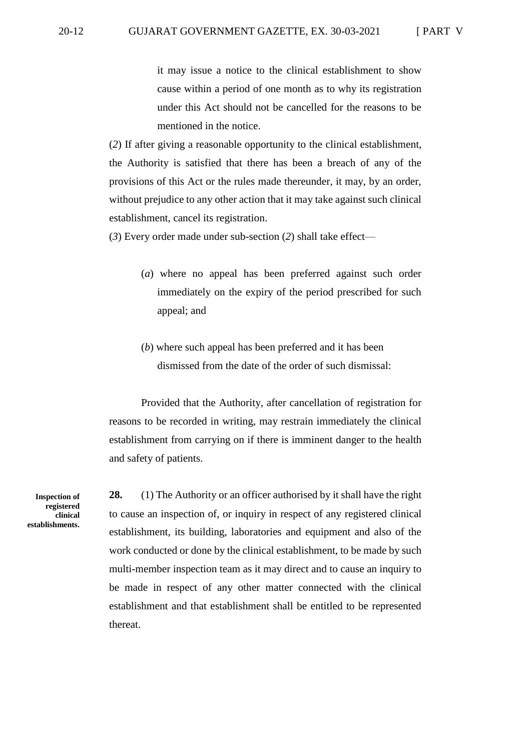it may issue a notice to the clinical establishment to show cause within a period of one month as to why its registration under this Act should not be cancelled for the reasons to be mentioned in the notice.

(*2*) If after giving a reasonable opportunity to the clinical establishment, the Authority is satisfied that there has been a breach of any of the provisions of this Act or the rules made thereunder, it may, by an order, without prejudice to any other action that it may take against such clinical establishment, cancel its registration.

(*3*) Every order made under sub-section (*2*) shall take effect—

- (*a*) where no appeal has been preferred against such order immediately on the expiry of the period prescribed for such appeal; and
- (*b*) where such appeal has been preferred and it has been dismissed from the date of the order of such dismissal:

Provided that the Authority, after cancellation of registration for reasons to be recorded in writing, may restrain immediately the clinical establishment from carrying on if there is imminent danger to the health and safety of patients.

**Inspection of registered clinical establishments.** **28.** (1) The Authority or an officer authorised by it shall have the right to cause an inspection of, or inquiry in respect of any registered clinical establishment, its building, laboratories and equipment and also of the work conducted or done by the clinical establishment, to be made by such multi-member inspection team as it may direct and to cause an inquiry to be made in respect of any other matter connected with the clinical establishment and that establishment shall be entitled to be represented thereat.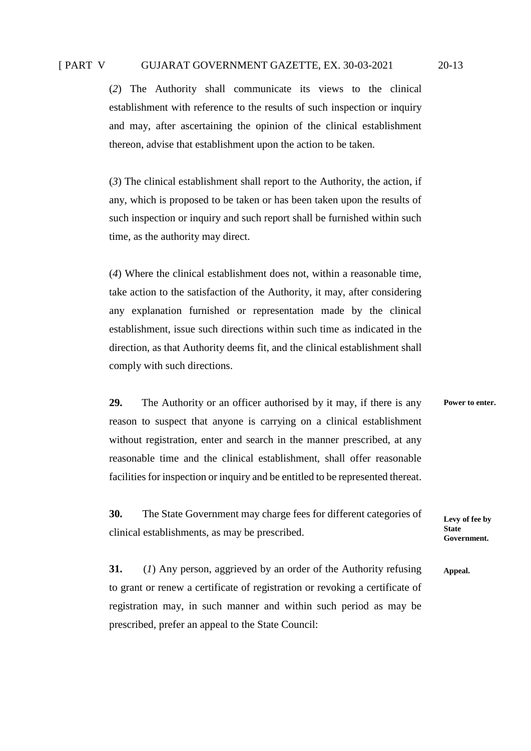(*2*) The Authority shall communicate its views to the clinical establishment with reference to the results of such inspection or inquiry and may, after ascertaining the opinion of the clinical establishment thereon, advise that establishment upon the action to be taken.

(*3*) The clinical establishment shall report to the Authority, the action, if any, which is proposed to be taken or has been taken upon the results of such inspection or inquiry and such report shall be furnished within such time, as the authority may direct.

(*4*) Where the clinical establishment does not, within a reasonable time, take action to the satisfaction of the Authority, it may, after considering any explanation furnished or representation made by the clinical establishment, issue such directions within such time as indicated in the direction, as that Authority deems fit, and the clinical establishment shall comply with such directions.

**29.** The Authority or an officer authorised by it may, if there is any reason to suspect that anyone is carrying on a clinical establishment without registration, enter and search in the manner prescribed, at any reasonable time and the clinical establishment, shall offer reasonable facilities for inspection or inquiry and be entitled to be represented thereat. **Power to enter.**

**30.** The State Government may charge fees for different categories of clinical establishments, as may be prescribed.

**Levy of fee by State Government.**

**31.** (*1*) Any person, aggrieved by an order of the Authority refusing to grant or renew a certificate of registration or revoking a certificate of registration may, in such manner and within such period as may be prescribed, prefer an appeal to the State Council: **Appeal.**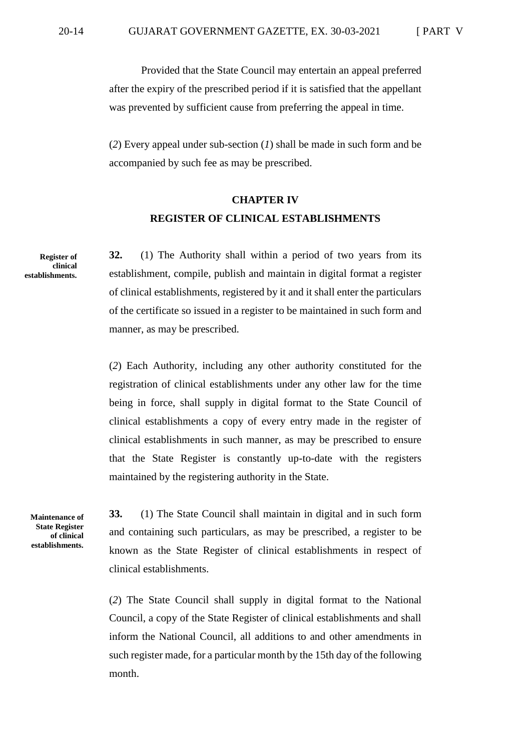Provided that the State Council may entertain an appeal preferred after the expiry of the prescribed period if it is satisfied that the appellant was prevented by sufficient cause from preferring the appeal in time.

(*2*) Every appeal under sub-section (*1*) shall be made in such form and be accompanied by such fee as may be prescribed.

### **CHAPTER IV REGISTER OF CLINICAL ESTABLISHMENTS**

**Register of clinical establishments.**

**32.** (1) The Authority shall within a period of two years from its establishment, compile, publish and maintain in digital format a register of clinical establishments, registered by it and it shall enter the particulars of the certificate so issued in a register to be maintained in such form and manner, as may be prescribed.

(*2*) Each Authority, including any other authority constituted for the registration of clinical establishments under any other law for the time being in force, shall supply in digital format to the State Council of clinical establishments a copy of every entry made in the register of clinical establishments in such manner, as may be prescribed to ensure that the State Register is constantly up-to-date with the registers maintained by the registering authority in the State.

**Maintenance of State Register of clinical establishments.**

**33.** (1) The State Council shall maintain in digital and in such form and containing such particulars, as may be prescribed, a register to be known as the State Register of clinical establishments in respect of clinical establishments.

(*2*) The State Council shall supply in digital format to the National Council, a copy of the State Register of clinical establishments and shall inform the National Council, all additions to and other amendments in such register made, for a particular month by the 15th day of the following month.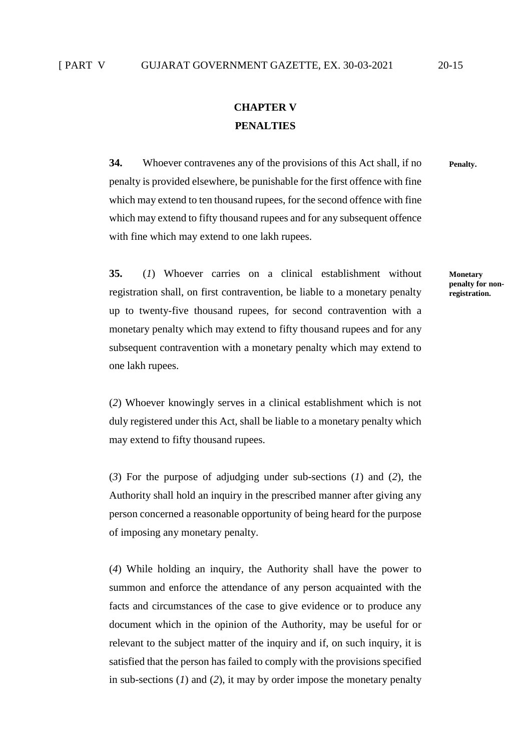### **CHAPTER V PENALTIES**

**34.** Whoever contravenes any of the provisions of this Act shall, if no penalty is provided elsewhere, be punishable for the first offence with fine which may extend to ten thousand rupees, for the second offence with fine which may extend to fifty thousand rupees and for any subsequent offence with fine which may extend to one lakh rupees.

**35.** (*1*) Whoever carries on a clinical establishment without registration shall, on first contravention, be liable to a monetary penalty up to twenty-five thousand rupees, for second contravention with a monetary penalty which may extend to fifty thousand rupees and for any subsequent contravention with a monetary penalty which may extend to one lakh rupees.

(*2*) Whoever knowingly serves in a clinical establishment which is not duly registered under this Act, shall be liable to a monetary penalty which may extend to fifty thousand rupees.

(*3*) For the purpose of adjudging under sub-sections (*1*) and (*2*), the Authority shall hold an inquiry in the prescribed manner after giving any person concerned a reasonable opportunity of being heard for the purpose of imposing any monetary penalty.

(*4*) While holding an inquiry, the Authority shall have the power to summon and enforce the attendance of any person acquainted with the facts and circumstances of the case to give evidence or to produce any document which in the opinion of the Authority, may be useful for or relevant to the subject matter of the inquiry and if, on such inquiry, it is satisfied that the person has failed to comply with the provisions specified in sub-sections (*1*) and (*2*), it may by order impose the monetary penalty

**Monetary penalty for nonregistration.**

**Penalty.**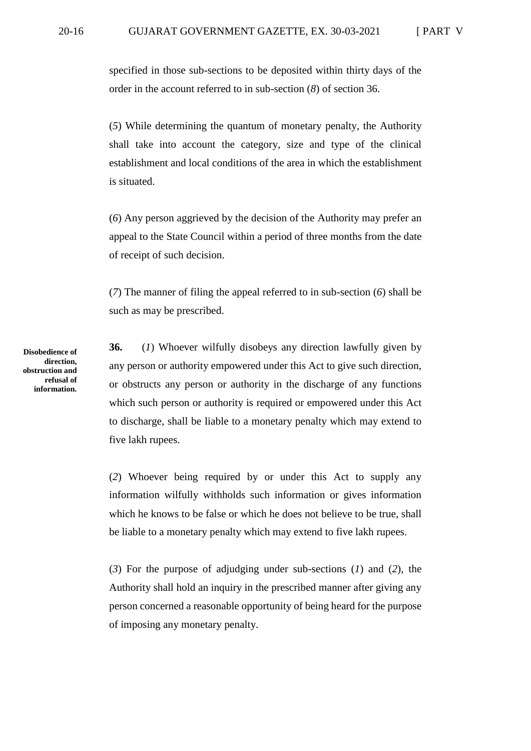specified in those sub-sections to be deposited within thirty days of the order in the account referred to in sub-section (*8*) of section 36.

(*5*) While determining the quantum of monetary penalty, the Authority shall take into account the category, size and type of the clinical establishment and local conditions of the area in which the establishment is situated.

(*6*) Any person aggrieved by the decision of the Authority may prefer an appeal to the State Council within a period of three months from the date of receipt of such decision.

(*7*) The manner of filing the appeal referred to in sub-section (*6*) shall be such as may be prescribed.

**36.** (*1*) Whoever wilfully disobeys any direction lawfully given by any person or authority empowered under this Act to give such direction, or obstructs any person or authority in the discharge of any functions which such person or authority is required or empowered under this Act to discharge, shall be liable to a monetary penalty which may extend to five lakh rupees.

(*2*) Whoever being required by or under this Act to supply any information wilfully withholds such information or gives information which he knows to be false or which he does not believe to be true, shall be liable to a monetary penalty which may extend to five lakh rupees.

(*3*) For the purpose of adjudging under sub-sections (*1*) and (*2*), the Authority shall hold an inquiry in the prescribed manner after giving any person concerned a reasonable opportunity of being heard for the purpose of imposing any monetary penalty.

**Disobedience of direction, obstruction and refusal of information.**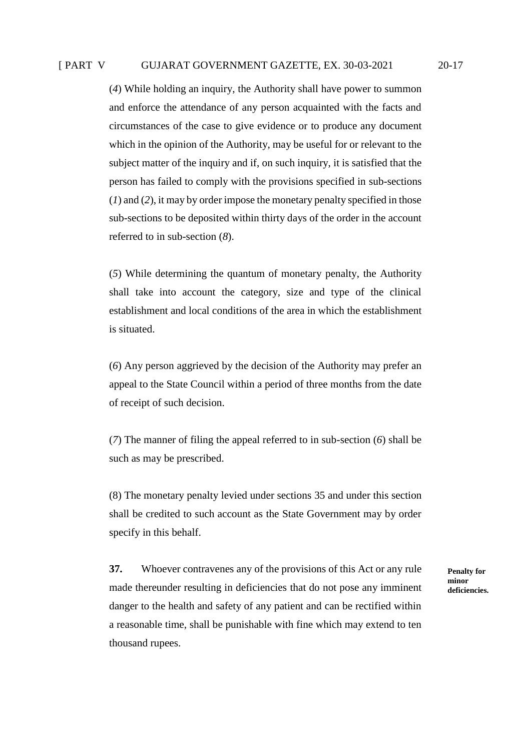(*4*) While holding an inquiry, the Authority shall have power to summon and enforce the attendance of any person acquainted with the facts and circumstances of the case to give evidence or to produce any document which in the opinion of the Authority, may be useful for or relevant to the subject matter of the inquiry and if, on such inquiry, it is satisfied that the person has failed to comply with the provisions specified in sub-sections (*1*) and (*2*), it may by order impose the monetary penalty specified in those sub-sections to be deposited within thirty days of the order in the account referred to in sub-section (*8*).

(*5*) While determining the quantum of monetary penalty, the Authority shall take into account the category, size and type of the clinical establishment and local conditions of the area in which the establishment is situated.

(*6*) Any person aggrieved by the decision of the Authority may prefer an appeal to the State Council within a period of three months from the date of receipt of such decision.

(*7*) The manner of filing the appeal referred to in sub-section (*6*) shall be such as may be prescribed.

(8) The monetary penalty levied under sections 35 and under this section shall be credited to such account as the State Government may by order specify in this behalf.

**37.** Whoever contravenes any of the provisions of this Act or any rule made thereunder resulting in deficiencies that do not pose any imminent danger to the health and safety of any patient and can be rectified within a reasonable time, shall be punishable with fine which may extend to ten thousand rupees.

**Penalty for minor deficiencies.**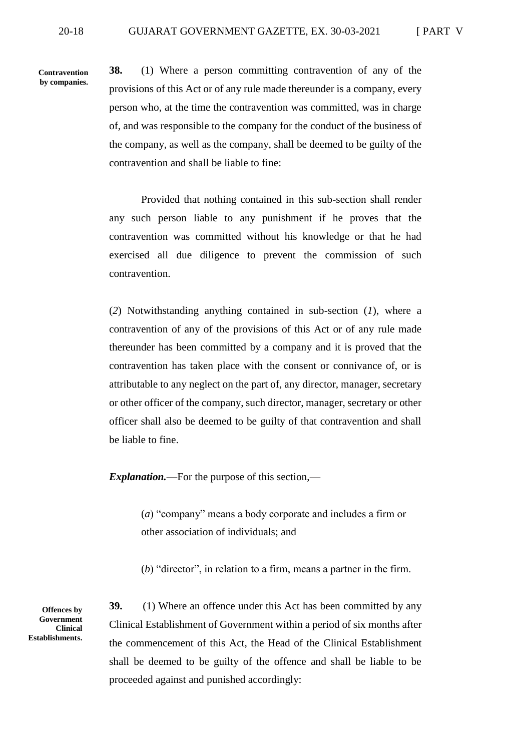**Contravention by companies.**

**38.** (1) Where a person committing contravention of any of the provisions of this Act or of any rule made thereunder is a company, every person who, at the time the contravention was committed, was in charge of, and was responsible to the company for the conduct of the business of the company, as well as the company, shall be deemed to be guilty of the contravention and shall be liable to fine:

Provided that nothing contained in this sub-section shall render any such person liable to any punishment if he proves that the contravention was committed without his knowledge or that he had exercised all due diligence to prevent the commission of such contravention.

(*2*) Notwithstanding anything contained in sub-section (*1*), where a contravention of any of the provisions of this Act or of any rule made thereunder has been committed by a company and it is proved that the contravention has taken place with the consent or connivance of, or is attributable to any neglect on the part of, any director, manager, secretary or other officer of the company, such director, manager, secretary or other officer shall also be deemed to be guilty of that contravention and shall be liable to fine.

*Explanation.—*For the purpose of this section,—

(*a*) "company" means a body corporate and includes a firm or other association of individuals; and

(*b*) "director", in relation to a firm, means a partner in the firm.

**Offences by Government Clinical Establishments.** **39.** (1) Where an offence under this Act has been committed by any Clinical Establishment of Government within a period of six months after the commencement of this Act, the Head of the Clinical Establishment shall be deemed to be guilty of the offence and shall be liable to be proceeded against and punished accordingly: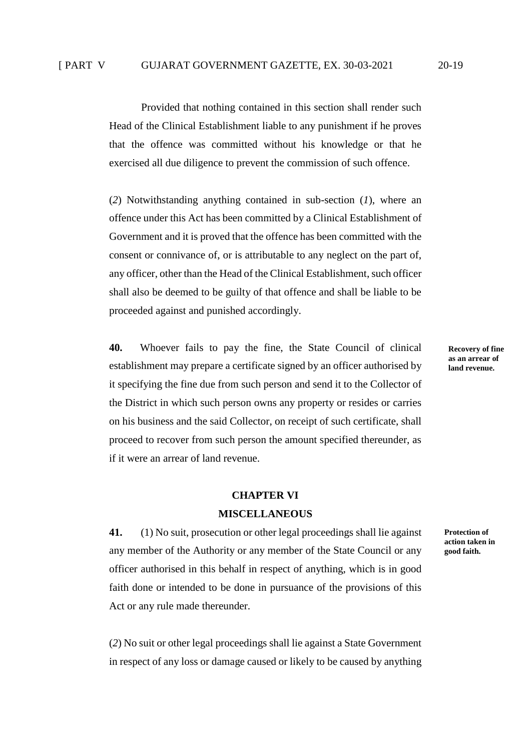Provided that nothing contained in this section shall render such Head of the Clinical Establishment liable to any punishment if he proves that the offence was committed without his knowledge or that he exercised all due diligence to prevent the commission of such offence.

(*2*) Notwithstanding anything contained in sub-section (*1*), where an offence under this Act has been committed by a Clinical Establishment of Government and it is proved that the offence has been committed with the consent or connivance of, or is attributable to any neglect on the part of, any officer, other than the Head of the Clinical Establishment, such officer shall also be deemed to be guilty of that offence and shall be liable to be proceeded against and punished accordingly.

**40.** Whoever fails to pay the fine, the State Council of clinical establishment may prepare a certificate signed by an officer authorised by it specifying the fine due from such person and send it to the Collector of the District in which such person owns any property or resides or carries on his business and the said Collector, on receipt of such certificate, shall proceed to recover from such person the amount specified thereunder, as if it were an arrear of land revenue.

#### **CHAPTER VI**

#### **MISCELLANEOUS**

**41.** (1) No suit, prosecution or other legal proceedings shall lie against any member of the Authority or any member of the State Council or any officer authorised in this behalf in respect of anything, which is in good faith done or intended to be done in pursuance of the provisions of this Act or any rule made thereunder.

(*2*) No suit or other legal proceedings shall lie against a State Government in respect of any loss or damage caused or likely to be caused by anything **Recovery of fine as an arrear of land revenue.**

**Protection of action taken in good faith.**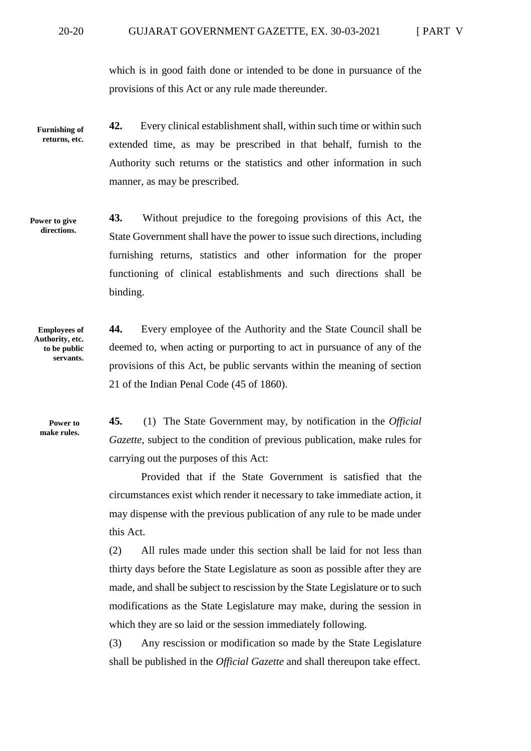which is in good faith done or intended to be done in pursuance of the provisions of this Act or any rule made thereunder.

**42.** Every clinical establishment shall, within such time or within such extended time, as may be prescribed in that behalf, furnish to the Authority such returns or the statistics and other information in such manner, as may be prescribed. **Furnishing of returns, etc.**

**43.** Without prejudice to the foregoing provisions of this Act, the State Government shall have the power to issue such directions, including furnishing returns, statistics and other information for the proper functioning of clinical establishments and such directions shall be binding. **Power to give directions.**

**Employees of Authority, etc. to be public servants.**

**44.** Every employee of the Authority and the State Council shall be deemed to, when acting or purporting to act in pursuance of any of the provisions of this Act, be public servants within the meaning of section 21 of the Indian Penal Code (45 of 1860).

**Power to make rules.**

**45.** (1) The State Government may, by notification in the *Official Gazette*, subject to the condition of previous publication, make rules for carrying out the purposes of this Act:

Provided that if the State Government is satisfied that the circumstances exist which render it necessary to take immediate action, it may dispense with the previous publication of any rule to be made under this Act.

(2) All rules made under this section shall be laid for not less than thirty days before the State Legislature as soon as possible after they are made, and shall be subject to rescission by the State Legislature or to such modifications as the State Legislature may make, during the session in which they are so laid or the session immediately following.

(3) Any rescission or modification so made by the State Legislature shall be published in the *Official Gazette* and shall thereupon take effect.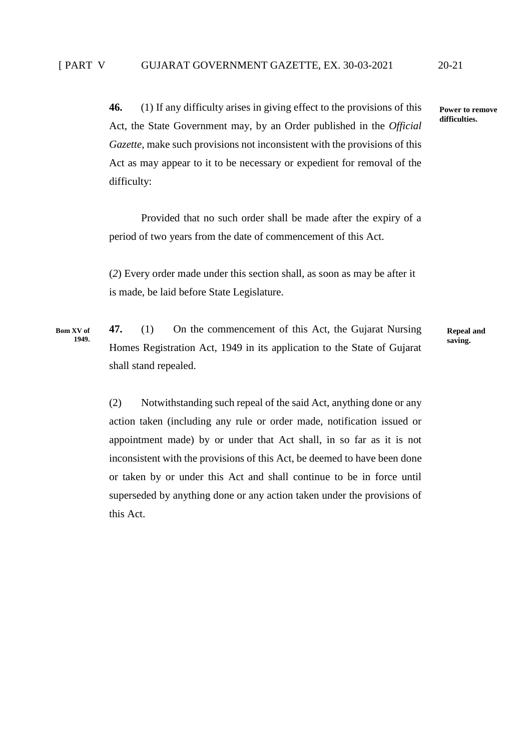**Bom XV of 1949.**

**46.** (1) If any difficulty arises in giving effect to the provisions of this Act, the State Government may, by an Order published in the *Official Gazette*, make such provisions not inconsistent with the provisions of this Act as may appear to it to be necessary or expedient for removal of the difficulty:

Provided that no such order shall be made after the expiry of a period of two years from the date of commencement of this Act.

(*2*) Every order made under this section shall, as soon as may be after it is made, be laid before State Legislature.

**47.** (1) On the commencement of this Act, the Gujarat Nursing Homes Registration Act, 1949 in its application to the State of Gujarat shall stand repealed.

**Repeal and saving.**

(2) Notwithstanding such repeal of the said Act, anything done or any action taken (including any rule or order made, notification issued or appointment made) by or under that Act shall, in so far as it is not inconsistent with the provisions of this Act, be deemed to have been done or taken by or under this Act and shall continue to be in force until superseded by anything done or any action taken under the provisions of this Act.

**Power to remove difficulties.**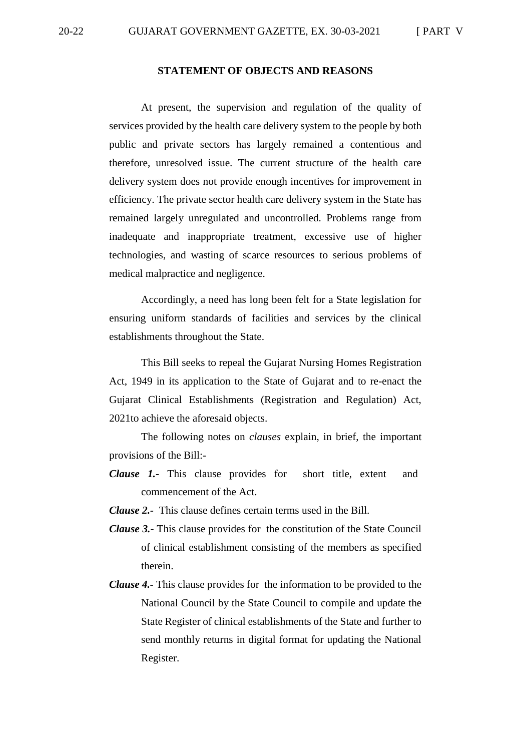#### **STATEMENT OF OBJECTS AND REASONS**

At present, the supervision and regulation of the quality of services provided by the health care delivery system to the people by both public and private sectors has largely remained a contentious and therefore, unresolved issue. The current structure of the health care delivery system does not provide enough incentives for improvement in efficiency. The private sector health care delivery system in the State has remained largely unregulated and uncontrolled. Problems range from inadequate and inappropriate treatment, excessive use of higher technologies, and wasting of scarce resources to serious problems of medical malpractice and negligence.

Accordingly, a need has long been felt for a State legislation for ensuring uniform standards of facilities and services by the clinical establishments throughout the State.

This Bill seeks to repeal the Gujarat Nursing Homes Registration Act, 1949 in its application to the State of Gujarat and to re-enact the Gujarat Clinical Establishments (Registration and Regulation) Act, 2021to achieve the aforesaid objects.

The following notes on *clauses* explain, in brief, the important provisions of the Bill:-

- *Clause 1.-* This clause provides for short title, extent and commencement of the Act.
- *Clause 2.-* This clause defines certain terms used in the Bill.
- *Clause 3.-* This clause provides for the constitution of the State Council of clinical establishment consisting of the members as specified therein.
- *Clause 4.-* This clause provides for the information to be provided to the National Council by the State Council to compile and update the State Register of clinical establishments of the State and further to send monthly returns in digital format for updating the National Register.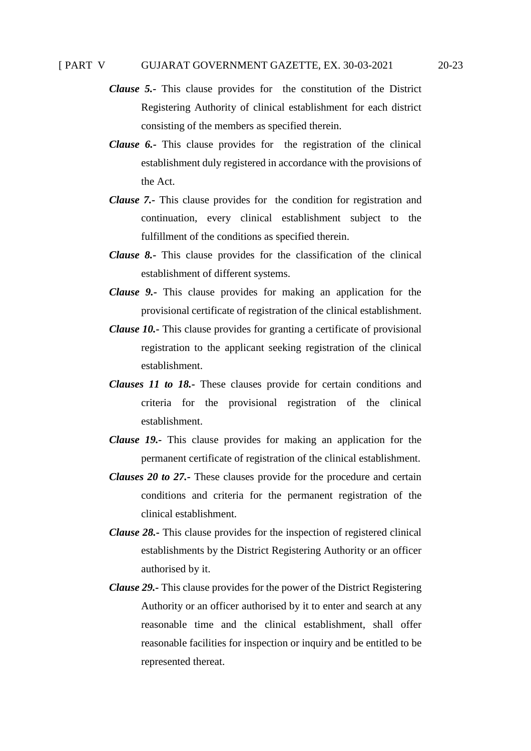- *Clause 5.-* This clause provides for the constitution of the District Registering Authority of clinical establishment for each district consisting of the members as specified therein.
- *Clause 6.-* This clause provides for the registration of the clinical establishment duly registered in accordance with the provisions of the Act.
- *Clause 7.-* This clause provides for the condition for registration and continuation, every clinical establishment subject to the fulfillment of the conditions as specified therein.
- *Clause 8.-* This clause provides for the classification of the clinical establishment of different systems.
- *Clause 9.-* This clause provides for making an application for the provisional certificate of registration of the clinical establishment.
- *Clause 10.-* This clause provides for granting a certificate of provisional registration to the applicant seeking registration of the clinical establishment.
- *Clauses 11 to 18.-* These clauses provide for certain conditions and criteria for the provisional registration of the clinical establishment.
- *Clause 19.-* This clause provides for making an application for the permanent certificate of registration of the clinical establishment.
- *Clauses 20 to 27.-* These clauses provide for the procedure and certain conditions and criteria for the permanent registration of the clinical establishment.
- *Clause 28.-* This clause provides for the inspection of registered clinical establishments by the District Registering Authority or an officer authorised by it.
- *Clause 29.-* This clause provides for the power of the District Registering Authority or an officer authorised by it to enter and search at any reasonable time and the clinical establishment, shall offer reasonable facilities for inspection or inquiry and be entitled to be represented thereat.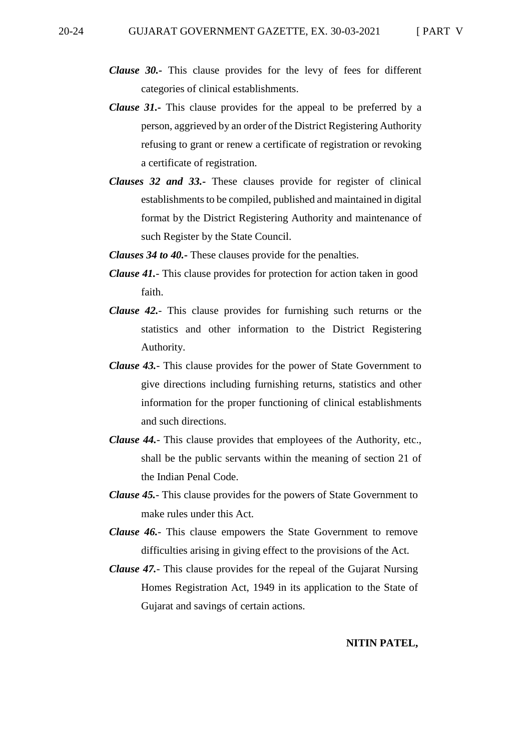- *Clause 30.-* This clause provides for the levy of fees for different categories of clinical establishments.
- *Clause 31.-* This clause provides for the appeal to be preferred by a person, aggrieved by an order of the District Registering Authority refusing to grant or renew a certificate of registration or revoking a certificate of registration.
- *Clauses 32 and 33.-* These clauses provide for register of clinical establishments to be compiled, published and maintained in digital format by the District Registering Authority and maintenance of such Register by the State Council.
- *Clauses 34 to 40.-* These clauses provide for the penalties.
- *Clause 41.* This clause provides for protection for action taken in good faith.
- *Clause 42.* This clause provides for furnishing such returns or the statistics and other information to the District Registering Authority.
- *Clause 43.* This clause provides for the power of State Government to give directions including furnishing returns, statistics and other information for the proper functioning of clinical establishments and such directions.
- *Clause 44.* This clause provides that employees of the Authority, etc., shall be the public servants within the meaning of section 21 of the Indian Penal Code.
- *Clause 45.* This clause provides for the powers of State Government to make rules under this Act.
- *Clause 46.* This clause empowers the State Government to remove difficulties arising in giving effect to the provisions of the Act.
- *Clause 47.* This clause provides for the repeal of the Gujarat Nursing Homes Registration Act, 1949 in its application to the State of Gujarat and savings of certain actions.

#### **NITIN PATEL,**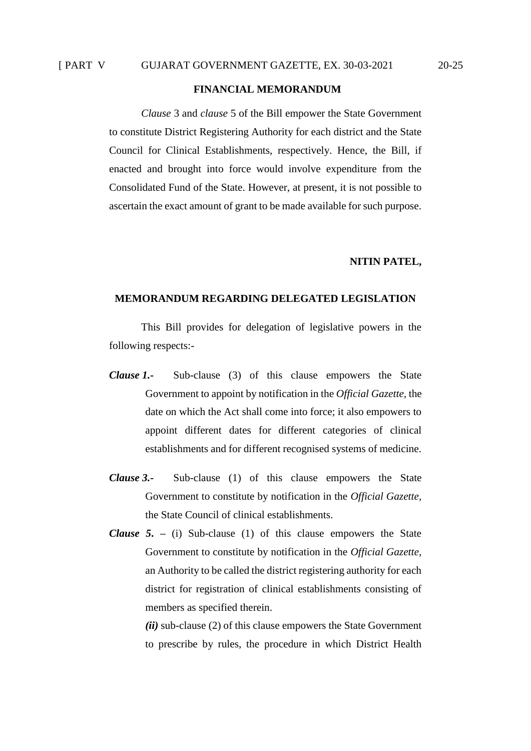### **FINANCIAL MEMORANDUM**

*Clause* 3 and *clause* 5 of the Bill empower the State Government to constitute District Registering Authority for each district and the State Council for Clinical Establishments, respectively. Hence, the Bill, if enacted and brought into force would involve expenditure from the Consolidated Fund of the State. However, at present, it is not possible to ascertain the exact amount of grant to be made available for such purpose.

#### **NITIN PATEL,**

### **MEMORANDUM REGARDING DELEGATED LEGISLATION**

This Bill provides for delegation of legislative powers in the following respects:-

- *Clause 1.***-** Sub-clause (3) of this clause empowers the State Government to appoint by notification in the *Official Gazette,* the date on which the Act shall come into force; it also empowers to appoint different dates for different categories of clinical establishments and for different recognised systems of medicine.
- *Clause 3.***-** Sub-clause (1) of this clause empowers the State Government to constitute by notification in the *Official Gazette,*  the State Council of clinical establishments.
- *Clause 5***. –** (i) Sub-clause (1) of this clause empowers the State Government to constitute by notification in the *Official Gazette,*  an Authority to be called the district registering authority for each district for registration of clinical establishments consisting of members as specified therein.

*(ii)* sub-clause (2) of this clause empowers the State Government to prescribe by rules, the procedure in which District Health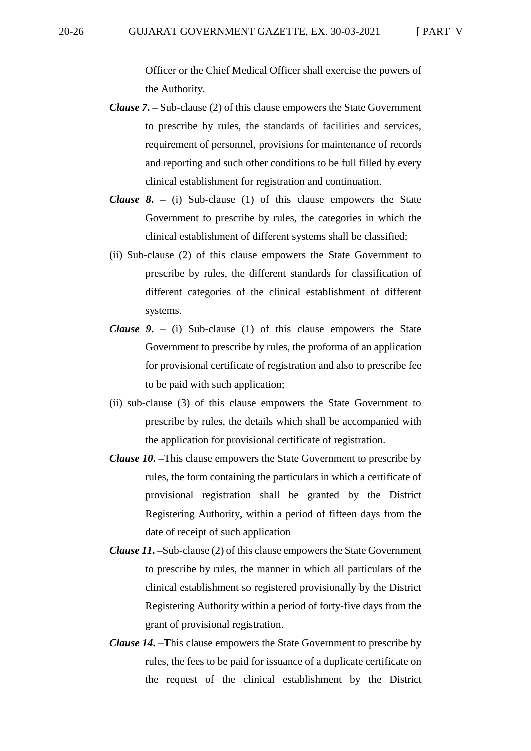Officer or the Chief Medical Officer shall exercise the powers of the Authority.

- *Clause 7***. –** Sub-clause (2) of this clause empowers the State Government to prescribe by rules, the standards of facilities and services, requirement of personnel, provisions for maintenance of records and reporting and such other conditions to be full filled by every clinical establishment for registration and continuation.
- *Clause 8***. –** (i) Sub-clause (1) of this clause empowers the State Government to prescribe by rules, the categories in which the clinical establishment of different systems shall be classified;
- (ii) Sub-clause (2) of this clause empowers the State Government to prescribe by rules, the different standards for classification of different categories of the clinical establishment of different systems.
- *Clause 9***. –** (i) Sub-clause (1) of this clause empowers the State Government to prescribe by rules, the proforma of an application for provisional certificate of registration and also to prescribe fee to be paid with such application;
- (ii) sub-clause (3) of this clause empowers the State Government to prescribe by rules, the details which shall be accompanied with the application for provisional certificate of registration.
- *Clause 10***. –**This clause empowers the State Government to prescribe by rules, the form containing the particulars in which a certificate of provisional registration shall be granted by the District Registering Authority, within a period of fifteen days from the date of receipt of such application
- *Clause 11***. –**Sub-clause (2) of this clause empowers the State Government to prescribe by rules, the manner in which all particulars of the clinical establishment so registered provisionally by the District Registering Authority within a period of forty-five days from the grant of provisional registration.
- *Clause 14***. –T**his clause empowers the State Government to prescribe by rules, the fees to be paid for issuance of a duplicate certificate on the request of the clinical establishment by the District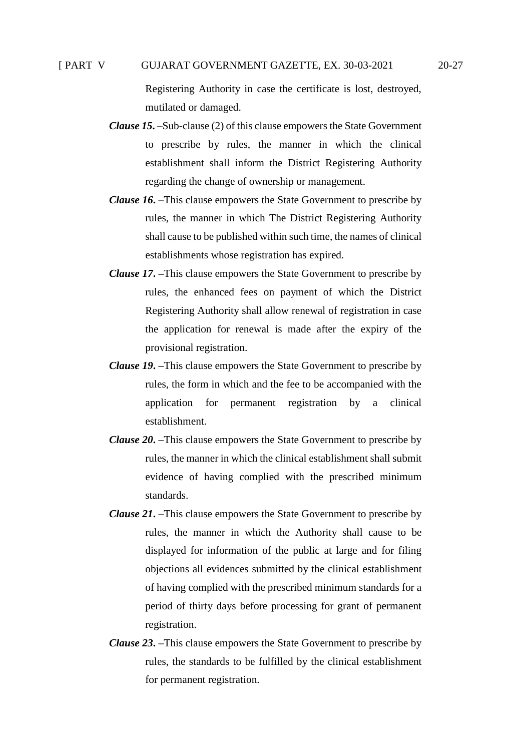### [ PART V GUJARAT GOVERNMENT GAZETTE, EX. 30-03-2021 20-27

Registering Authority in case the certificate is lost, destroyed, mutilated or damaged.

- *Clause 15***. –**Sub-clause (2) of this clause empowers the State Government to prescribe by rules, the manner in which the clinical establishment shall inform the District Registering Authority regarding the change of ownership or management.
- *Clause 16***. –**This clause empowers the State Government to prescribe by rules, the manner in which The District Registering Authority shall cause to be published within such time, the names of clinical establishments whose registration has expired.
- *Clause 17***. –**This clause empowers the State Government to prescribe by rules, the enhanced fees on payment of which the District Registering Authority shall allow renewal of registration in case the application for renewal is made after the expiry of the provisional registration.
- *Clause 19***. –**This clause empowers the State Government to prescribe by rules, the form in which and the fee to be accompanied with the application for permanent registration by a clinical establishment.
- *Clause 20***. –**This clause empowers the State Government to prescribe by rules, the manner in which the clinical establishment shall submit evidence of having complied with the prescribed minimum standards.
- *Clause 21***. –**This clause empowers the State Government to prescribe by rules, the manner in which the Authority shall cause to be displayed for information of the public at large and for filing objections all evidences submitted by the clinical establishment of having complied with the prescribed minimum standards for a period of thirty days before processing for grant of permanent registration.
- *Clause 23***. –**This clause empowers the State Government to prescribe by rules, the standards to be fulfilled by the clinical establishment for permanent registration.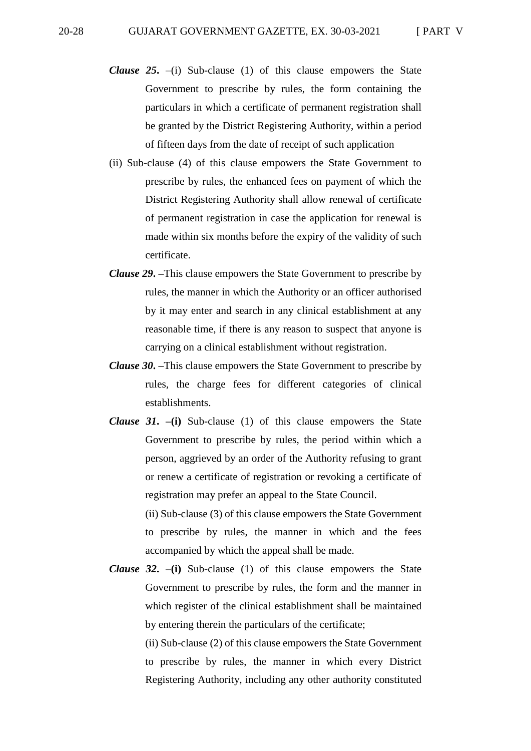- *Clause 25***.** –(i) Sub-clause (1) of this clause empowers the State Government to prescribe by rules, the form containing the particulars in which a certificate of permanent registration shall be granted by the District Registering Authority, within a period of fifteen days from the date of receipt of such application
- (ii) Sub-clause (4) of this clause empowers the State Government to prescribe by rules, the enhanced fees on payment of which the District Registering Authority shall allow renewal of certificate of permanent registration in case the application for renewal is made within six months before the expiry of the validity of such certificate.
- *Clause 29***. –**This clause empowers the State Government to prescribe by rules, the manner in which the Authority or an officer authorised by it may enter and search in any clinical establishment at any reasonable time, if there is any reason to suspect that anyone is carrying on a clinical establishment without registration.
- *Clause 30***. –**This clause empowers the State Government to prescribe by rules, the charge fees for different categories of clinical establishments.
- *Clause 31***. –(i)** Sub-clause (1) of this clause empowers the State Government to prescribe by rules, the period within which a person, aggrieved by an order of the Authority refusing to grant or renew a certificate of registration or revoking a certificate of registration may prefer an appeal to the State Council. (ii) Sub-clause (3) of this clause empowers the State Government

to prescribe by rules, the manner in which and the fees accompanied by which the appeal shall be made.

*Clause 32***. –(i)** Sub-clause (1) of this clause empowers the State Government to prescribe by rules, the form and the manner in which register of the clinical establishment shall be maintained by entering therein the particulars of the certificate;

> (ii) Sub-clause (2) of this clause empowers the State Government to prescribe by rules, the manner in which every District Registering Authority, including any other authority constituted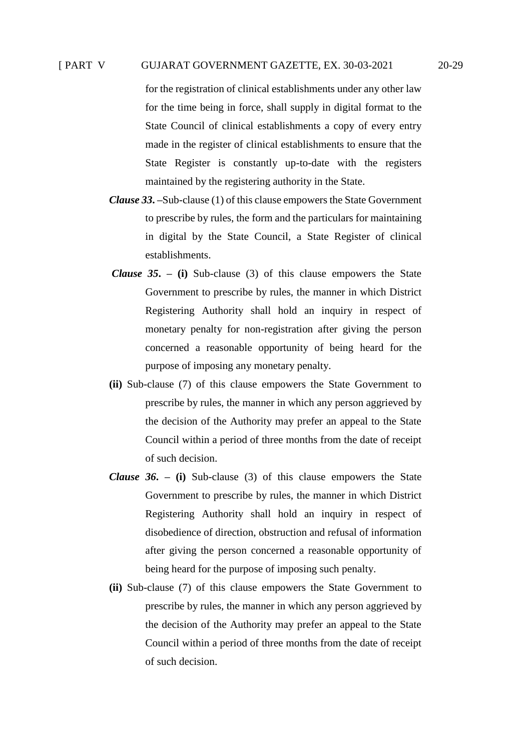### [ PART V GUJARAT GOVERNMENT GAZETTE, EX. 30-03-2021 20-29

for the registration of clinical establishments under any other law for the time being in force, shall supply in digital format to the State Council of clinical establishments a copy of every entry made in the register of clinical establishments to ensure that the State Register is constantly up-to-date with the registers maintained by the registering authority in the State.

- *Clause 33***. –**Sub-clause (1) of this clause empowers the State Government to prescribe by rules, the form and the particulars for maintaining in digital by the State Council, a State Register of clinical establishments.
- *Clause 35***. – (i)** Sub-clause (3) of this clause empowers the State Government to prescribe by rules, the manner in which District Registering Authority shall hold an inquiry in respect of monetary penalty for non-registration after giving the person concerned a reasonable opportunity of being heard for the purpose of imposing any monetary penalty.
- **(ii)** Sub-clause (7) of this clause empowers the State Government to prescribe by rules, the manner in which any person aggrieved by the decision of the Authority may prefer an appeal to the State Council within a period of three months from the date of receipt of such decision.
- *Clause 36***. – (i)** Sub-clause (3) of this clause empowers the State Government to prescribe by rules, the manner in which District Registering Authority shall hold an inquiry in respect of disobedience of direction, obstruction and refusal of information after giving the person concerned a reasonable opportunity of being heard for the purpose of imposing such penalty.
- **(ii)** Sub-clause (7) of this clause empowers the State Government to prescribe by rules, the manner in which any person aggrieved by the decision of the Authority may prefer an appeal to the State Council within a period of three months from the date of receipt of such decision.